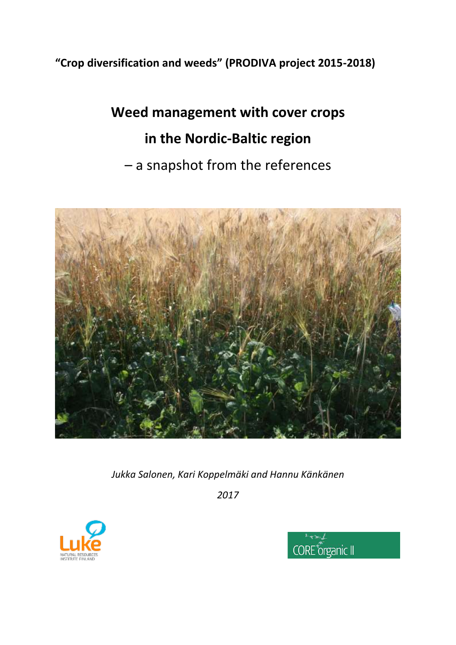## **"Crop diversification and weeds" (PRODIVA project 2015-2018)**

# **Weed management with cover crops in the Nordic-Baltic region** – a snapshot from the references



*Jukka Salonen, Kari Koppelmäki and Hannu Känkänen*

*2017*



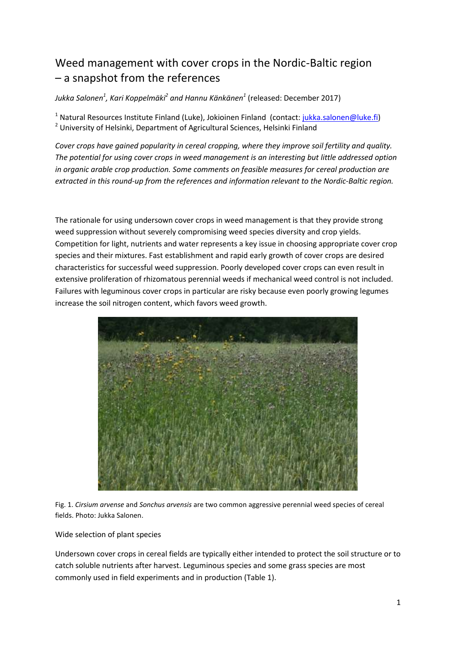## Weed management with cover crops in the Nordic-Baltic region – a snapshot from the references

*Jukka Salonen<sup>1</sup> , Kari Koppelmäki<sup>2</sup> and Hannu Känkänen<sup>1</sup>* (released: December 2017)

<sup>1</sup> Natural Resources Institute Finland (Luke), Jokioinen Finland (contact: *jukka.salonen@luke.fi*) <sup>2</sup> University of Helsinki, Department of Agricultural Sciences, Helsinki Finland

*Cover crops have gained popularity in cereal cropping, where they improve soil fertility and quality. The potential for using cover crops in weed management is an interesting but little addressed option in organic arable crop production. Some comments on feasible measures for cereal production are extracted in this round-up from the references and information relevant to the Nordic-Baltic region.* 

The rationale for using undersown cover crops in weed management is that they provide strong weed suppression without severely compromising weed species diversity and crop yields. Competition for light, nutrients and water represents a key issue in choosing appropriate cover crop species and their mixtures. Fast establishment and rapid early growth of cover crops are desired characteristics for successful weed suppression. Poorly developed cover crops can even result in extensive proliferation of rhizomatous perennial weeds if mechanical weed control is not included. Failures with leguminous cover crops in particular are risky because even poorly growing legumes increase the soil nitrogen content, which favors weed growth.



Fig. 1. *Cirsium arvense* and *Sonchus arvensis* are two common aggressive perennial weed species of cereal fields. Photo: Jukka Salonen.

Wide selection of plant species

Undersown cover crops in cereal fields are typically either intended to protect the soil structure or to catch soluble nutrients after harvest. Leguminous species and some grass species are most commonly used in field experiments and in production (Table 1).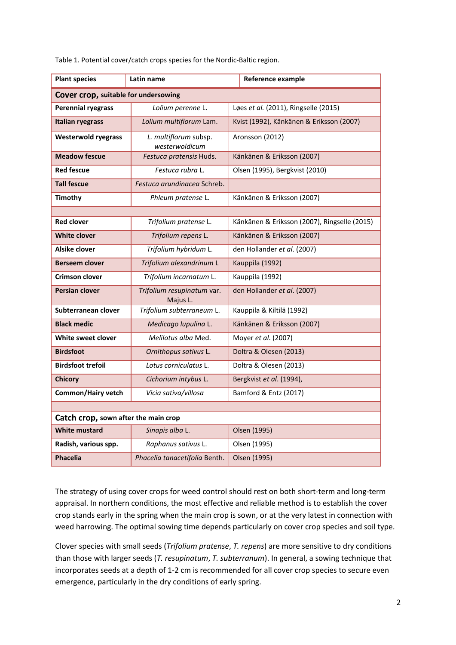| <b>Plant species</b>                 | Latin name                              |                                              | Reference example |  |  |  |  |  |
|--------------------------------------|-----------------------------------------|----------------------------------------------|-------------------|--|--|--|--|--|
| Cover crop, suitable for undersowing |                                         |                                              |                   |  |  |  |  |  |
| <b>Perennial ryegrass</b>            | Lolium perenne L.                       | Løes et al. (2011), Ringselle (2015)         |                   |  |  |  |  |  |
| <b>Italian ryegrass</b>              | Lolium multiflorum Lam.                 | Kvist (1992), Känkänen & Eriksson (2007)     |                   |  |  |  |  |  |
| <b>Westerwold ryegrass</b>           | L. multiflorum subsp.<br>westerwoldicum | Aronsson (2012)                              |                   |  |  |  |  |  |
| <b>Meadow fescue</b>                 | Festuca pratensis Huds.                 | Känkänen & Eriksson (2007)                   |                   |  |  |  |  |  |
| <b>Red fescue</b>                    | Festuca rubra L.                        | Olsen (1995), Bergkvist (2010)               |                   |  |  |  |  |  |
| <b>Tall fescue</b>                   | Festuca arundinacea Schreb.             |                                              |                   |  |  |  |  |  |
| <b>Timothy</b>                       | Phleum pratense L.                      | Känkänen & Eriksson (2007)                   |                   |  |  |  |  |  |
|                                      |                                         |                                              |                   |  |  |  |  |  |
| <b>Red clover</b>                    | Trifolium pratense L.                   | Känkänen & Eriksson (2007), Ringselle (2015) |                   |  |  |  |  |  |
| <b>White clover</b>                  | Trifolium repens L.                     | Känkänen & Eriksson (2007)                   |                   |  |  |  |  |  |
| Alsike clover                        | Trifolium hybridum L.                   | den Hollander et al. (2007)                  |                   |  |  |  |  |  |
| <b>Berseem clover</b>                | Trifolium alexandrinum L                |                                              | Kauppila (1992)   |  |  |  |  |  |
| <b>Crimson clover</b>                | Trifolium incarnatum L.                 | Kauppila (1992)                              |                   |  |  |  |  |  |
| <b>Persian clover</b>                | Trifolium resupinatum var.<br>Majus L.  | den Hollander et al. (2007)                  |                   |  |  |  |  |  |
| Subterranean clover                  | Trifolium subterraneum L.               | Kauppila & Kiltilä (1992)                    |                   |  |  |  |  |  |
| <b>Black medic</b>                   | Medicago lupulina L.                    | Känkänen & Eriksson (2007)                   |                   |  |  |  |  |  |
| White sweet clover                   | Melilotus alba Med.                     | Moyer et al. (2007)                          |                   |  |  |  |  |  |
| <b>Birdsfoot</b>                     | Ornithopus sativus L.                   | Doltra & Olesen (2013)                       |                   |  |  |  |  |  |
| <b>Birdsfoot trefoil</b>             | Lotus corniculatus L.                   | Doltra & Olesen (2013)                       |                   |  |  |  |  |  |
| <b>Chicory</b>                       | Cichorium intybus L.                    | Bergkvist et al. (1994),                     |                   |  |  |  |  |  |
| <b>Common/Hairy vetch</b>            | Vicia sativa/villosa                    | Bamford & Entz (2017)                        |                   |  |  |  |  |  |
|                                      |                                         |                                              |                   |  |  |  |  |  |
| Catch crop, sown after the main crop |                                         |                                              |                   |  |  |  |  |  |
| <b>White mustard</b>                 | Sinapis alba L.                         | <b>Olsen (1995)</b>                          |                   |  |  |  |  |  |
| Radish, various spp.                 | Raphanus sativus L.                     | Olsen (1995)                                 |                   |  |  |  |  |  |
| <b>Phacelia</b>                      | Phacelia tanacetifolia Benth.           | Olsen (1995)                                 |                   |  |  |  |  |  |

Table 1. Potential cover/catch crops species for the Nordic-Baltic region.

The strategy of using cover crops for weed control should rest on both short-term and long-term appraisal. In northern conditions, the most effective and reliable method is to establish the cover crop stands early in the spring when the main crop is sown, or at the very latest in connection with weed harrowing. The optimal sowing time depends particularly on cover crop species and soil type.

Clover species with small seeds (*Trifolium pratense*, *T. repens*) are more sensitive to dry conditions than those with larger seeds (*T. resupinatum*, *T. subterranum*). In general, a sowing technique that incorporates seeds at a depth of 1-2 cm is recommended for all cover crop species to secure even emergence, particularly in the dry conditions of early spring.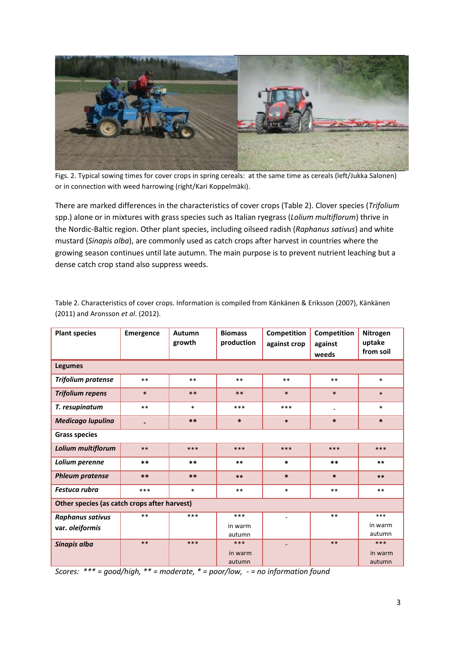

Figs. 2. Typical sowing times for cover crops in spring cereals: at the same time as cereals (left/Jukka Salonen) or in connection with weed harrowing (right/Kari Koppelmäki).

There are marked differences in the characteristics of cover crops (Table 2). Clover species (*Trifolium* spp.) alone or in mixtures with grass species such as Italian ryegrass (*Lolium multiflorum*) thrive in the Nordic-Baltic region. Other plant species, including oilseed radish (*Raphanus sativus*) and white mustard (*Sinapis alba*), are commonly used as catch crops after harvest in countries where the growing season continues until late autumn. The main purpose is to prevent nutrient leaching but a dense catch crop stand also suppress weeds.

| <b>Plant species</b>                         | <b>Emergence</b> | Autumn<br>growth | <b>Biomass</b><br>production | Competition<br>against crop | Competition<br>against | Nitrogen<br>uptake |  |
|----------------------------------------------|------------------|------------------|------------------------------|-----------------------------|------------------------|--------------------|--|
|                                              |                  |                  |                              |                             | weeds                  | from soil          |  |
| <b>Legumes</b>                               |                  |                  |                              |                             |                        |                    |  |
| <b>Trifolium pratense</b>                    | $**$             | $***$            | $***$                        | $***$                       | $***$                  | $\ast$             |  |
| <b>Trifolium repens</b>                      | $\ast$           | $**$             | $***$                        | $\ast$                      | $\ast$                 | $\ast$             |  |
| T. resupinatum                               | $***$            | $\ast$           | ***                          | ***                         | $\qquad \qquad -$      | $\ast$             |  |
| <b>Medicago lupulina</b>                     |                  | $***$            | $\ast$                       | $\ast$                      | $\ast$                 | $\ast$             |  |
| <b>Grass species</b>                         |                  |                  |                              |                             |                        |                    |  |
| Lolium multiflorum                           | $***$            | $***$            | ***                          | ***                         | $***$                  | ***                |  |
| Lolium perenne                               | $***$            | $***$            | $***$                        | $\ast$                      | $***$                  | $***$              |  |
| <b>Phleum pratense</b>                       | $***$            | $***$            | $***$                        | $\ast$                      | $\ast$                 | $***$              |  |
| Festuca rubra                                | ***              | $\ast$           | $***$                        | $\ast$                      | $***$                  | $***$              |  |
| Other species (as catch crops after harvest) |                  |                  |                              |                             |                        |                    |  |
| Raphanus sativus                             | $***$            | ***              | ***                          |                             | $***$                  | ***                |  |
| var. oleiformis                              |                  |                  | in warm                      |                             |                        | in warm            |  |
|                                              |                  |                  | autumn                       |                             |                        | autumn             |  |
| Sinapis alba                                 | $***$            | ***              | ***                          |                             | $***$                  | ***                |  |
|                                              |                  |                  | in warm                      |                             |                        | in warm            |  |
|                                              |                  |                  | autumn                       |                             |                        | autumn             |  |

Table 2. Characteristics of cover crops. Information is compiled from Känkänen & Eriksson (2007), Känkänen (2011) and Aronsson *et al*. (2012).

*Scores: \*\*\* = good/high, \*\* = moderate, \* = poor/low, - = no information found*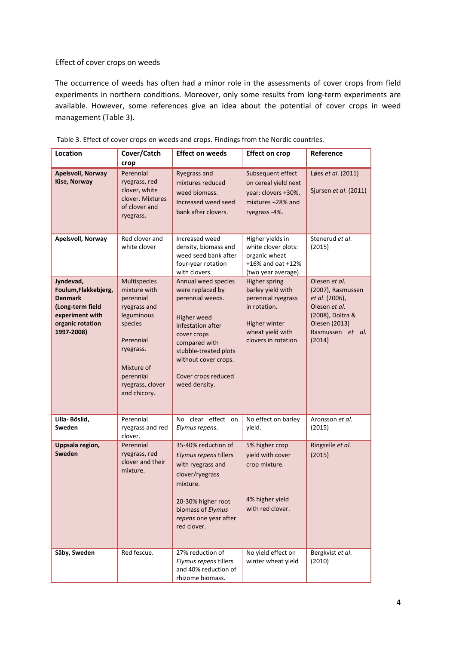#### Effect of cover crops on weeds

The occurrence of weeds has often had a minor role in the assessments of cover crops from field experiments in northern conditions. Moreover, only some results from long-term experiments are available. However, some references give an idea about the potential of cover crops in weed management (Table 3).

| <b>Location</b>                                                                                                              | Cover/Catch                                                                                                                                                                 | <b>Effect on weeds</b>                                                                                                                                                                                                   | <b>Effect on crop</b>                                                                                                                        | Reference                                                                                                                                |
|------------------------------------------------------------------------------------------------------------------------------|-----------------------------------------------------------------------------------------------------------------------------------------------------------------------------|--------------------------------------------------------------------------------------------------------------------------------------------------------------------------------------------------------------------------|----------------------------------------------------------------------------------------------------------------------------------------------|------------------------------------------------------------------------------------------------------------------------------------------|
|                                                                                                                              | crop                                                                                                                                                                        |                                                                                                                                                                                                                          |                                                                                                                                              |                                                                                                                                          |
| <b>Apelsvoll, Norway</b><br>Kise, Norway                                                                                     | Perennial<br>ryegrass, red<br>clover, white<br>clover. Mixtures<br>of clover and<br>ryegrass.                                                                               | Ryegrass and<br>mixtures reduced<br>weed biomass.<br>Increased weed seed<br>bank after clovers.                                                                                                                          | Subsequent effect<br>on cereal yield next<br>year: clovers +30%,<br>mixtures +28% and<br>ryegrass-4%.                                        | Løes et al. (2011)<br>Sjursen et al. (2011)                                                                                              |
| Apelsvoll, Norway                                                                                                            | Red clover and<br>white clover                                                                                                                                              | Increased weed<br>density, biomass and<br>weed seed bank after<br>four-year rotation<br>with clovers.                                                                                                                    | Higher yields in<br>white clover plots:<br>organic wheat<br>+16% and oat +12%<br>(two year average).                                         | Stenerud et al.<br>(2015)                                                                                                                |
| Jyndevad,<br>Foulum, Flakkebjerg,<br><b>Denmark</b><br>(Long-term field<br>experiment with<br>organic rotation<br>1997-2008) | Multispecies<br>mixture with<br>perennial<br>ryegrass and<br>leguminous<br>species<br>Perennial<br>ryegrass.<br>Mixture of<br>perennial<br>ryegrass, clover<br>and chicory. | Annual weed species<br>were replaced by<br>perennial weeds.<br>Higher weed<br>infestation after<br>cover crops<br>compared with<br>stubble-treated plots<br>without cover crops.<br>Cover crops reduced<br>weed density. | <b>Higher spring</b><br>barley yield with<br>perennial ryegrass<br>in rotation.<br>Higher winter<br>wheat yield with<br>clovers in rotation. | Olesen et al.<br>(2007), Rasmussen<br>et al. (2006),<br>Olesen et al.<br>(2008), Doltra &<br>Olesen (2013)<br>Rasmussen et al.<br>(2014) |
| Lilla- Böslid,<br>Sweden                                                                                                     | Perennial<br>ryegrass and red<br>clover.                                                                                                                                    | No clear effect on<br>Elymus repens.                                                                                                                                                                                     | No effect on barley<br>yield.                                                                                                                | Aronsson et al.<br>(2015)                                                                                                                |
| Uppsala region,<br>Sweden                                                                                                    | Perennial<br>ryegrass, red<br>clover and their<br>mixture.                                                                                                                  | 35-40% reduction of<br>Elymus repens tillers<br>with ryegrass and<br>clover/ryegrass<br>mixture.<br>20-30% higher root<br>biomass of Elymus<br>repens one year after<br>red clover.                                      | 5% higher crop<br>yield with cover<br>crop mixture.<br>4% higher yield<br>with red clover.                                                   | Ringselle et al.<br>(2015)                                                                                                               |
| Säby, Sweden                                                                                                                 | Red fescue.                                                                                                                                                                 | 27% reduction of<br>Elymus repens tillers<br>and 40% reduction of<br>rhizome biomass.                                                                                                                                    | No yield effect on<br>winter wheat yield                                                                                                     | Bergkvist et al.<br>(2010)                                                                                                               |

Table 3. Effect of cover crops on weeds and crops. Findings from the Nordic countries.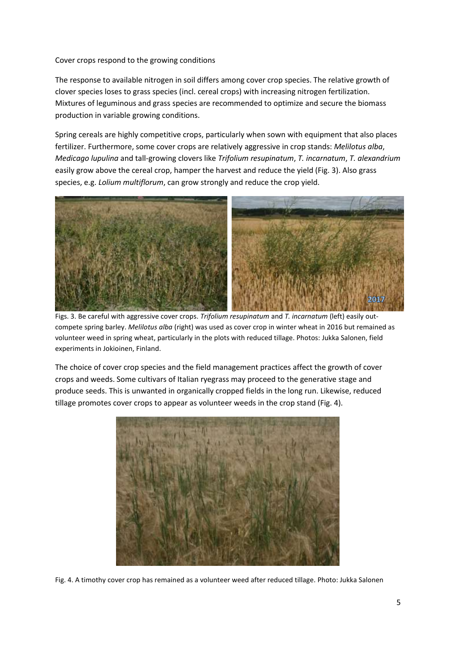Cover crops respond to the growing conditions

The response to available nitrogen in soil differs among cover crop species. The relative growth of clover species loses to grass species (incl. cereal crops) with increasing nitrogen fertilization. Mixtures of leguminous and grass species are recommended to optimize and secure the biomass production in variable growing conditions.

Spring cereals are highly competitive crops, particularly when sown with equipment that also places fertilizer. Furthermore, some cover crops are relatively aggressive in crop stands: *Melilotus alba*, *Medicago lupulina* and tall-growing clovers like *Trifolium resupinatum*, *T. incarnatum*, *T. alexandrium* easily grow above the cereal crop, hamper the harvest and reduce the yield (Fig. 3). Also grass species, e.g. *Lolium multiflorum*, can grow strongly and reduce the crop yield.



Figs. 3. Be careful with aggressive cover crops. *Trifolium resupinatum* and *T. incarnatum* (left) easily outcompete spring barley. *Melilotus alba* (right) was used as cover crop in winter wheat in 2016 but remained as volunteer weed in spring wheat, particularly in the plots with reduced tillage. Photos: Jukka Salonen, field experiments in Jokioinen, Finland.

The choice of cover crop species and the field management practices affect the growth of cover crops and weeds. Some cultivars of Italian ryegrass may proceed to the generative stage and produce seeds. This is unwanted in organically cropped fields in the long run. Likewise, reduced tillage promotes cover crops to appear as volunteer weeds in the crop stand (Fig. 4).



Fig. 4. A timothy cover crop has remained as a volunteer weed after reduced tillage. Photo: Jukka Salonen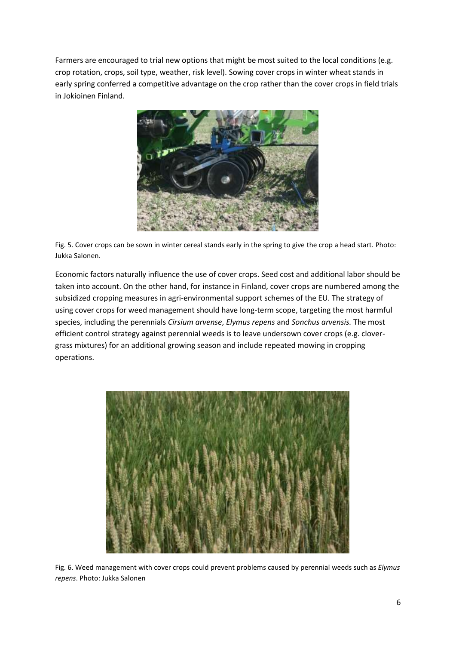Farmers are encouraged to trial new options that might be most suited to the local conditions (e.g. crop rotation, crops, soil type, weather, risk level). Sowing cover crops in winter wheat stands in early spring conferred a competitive advantage on the crop rather than the cover crops in field trials in Jokioinen Finland.



Fig. 5. Cover crops can be sown in winter cereal stands early in the spring to give the crop a head start. Photo: Jukka Salonen.

Economic factors naturally influence the use of cover crops. Seed cost and additional labor should be taken into account. On the other hand, for instance in Finland, cover crops are numbered among the subsidized cropping measures in agri-environmental support schemes of the EU. The strategy of using cover crops for weed management should have long-term scope, targeting the most harmful species, including the perennials *Cirsium arvense*, *Elymus repens* and *Sonchus arvensis.* The most efficient control strategy against perennial weeds is to leave undersown cover crops (e.g. clovergrass mixtures) for an additional growing season and include repeated mowing in cropping operations.



Fig. 6. Weed management with cover crops could prevent problems caused by perennial weeds such as *Elymus repens*. Photo: Jukka Salonen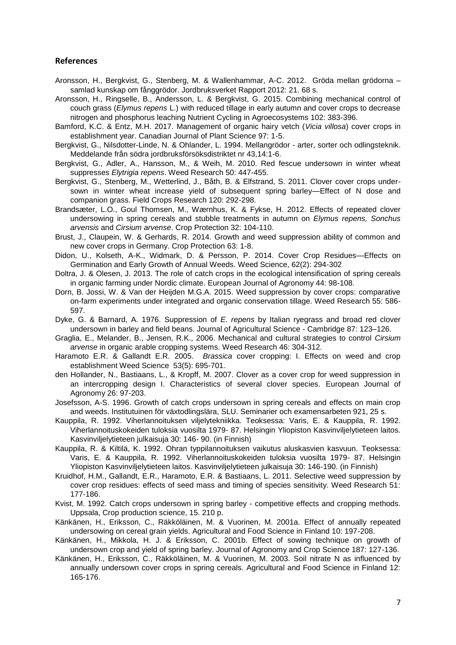#### **References**

- Aronsson, H., Bergkvist, G., Stenberg, M. & Wallenhammar, A-C. 2012. Gröda mellan grödorna samlad kunskap om fånggrödor. Jordbruksverket Rapport 2012: 21. 68 s.
- Aronsson, H., Ringselle, B., Andersson, L. & Bergkvist, G. 2015. Combining mechanical control of couch grass (*Elymus repens* L.) with reduced tillage in early autumn and cover crops to decrease nitrogen and phosphorus leaching Nutrient Cycling in Agroecosystems 102: 383-396.
- Bamford, K.C. & Entz, M.H. 2017. Management of organic hairy vetch (*Vicia villosa*) cover crops in establishment year. Canadian Journal of Plant Science 97: 1-5.
- Bergkvist, G., Nilsdotter-Linde, N. & Ohlander, L. 1994. Mellangrödor arter, sorter och odlingsteknik. Meddelande från södra jordbruksförsöksdistriktet nr 43,14:1-6.
- Bergkvist, G., Adler, A., Hansson, M., & Weih, M. 2010. Red fescue undersown in winter wheat suppresses *Elytrigia repens*. Weed Research 50: 447-455.
- Bergkvist, G., Stenberg, M., Wetterlind, J., Båth, B. & Elfstrand, S. 2011. Clover cover crops undersown in winter wheat increase yield of subsequent spring barley—Effect of N dose and companion grass. Field Crops Research 120: 292-298.
- Brandsæter, L.O., Goul Thomsen, M., Wærnhus, K. & Fykse, H. 2012. Effects of repeated clover undersowing in spring cereals and stubble treatments in autumn on *Elymus repens, Sonchus arvensis* and *Cirsium arvense*. Crop Protection 32: 104-110.
- Brust, J., Claupein, W. & Gerhards, R. 2014. Growth and weed suppression ability of common and new cover crops in Germany. Crop Protection 63: 1-8.
- Didon, U., Kolseth, A-K., Widmark, D. & Persson, P. 2014. Cover Crop Residues—Effects on Germination and Early Growth of Annual Weeds. Weed Science, 62(2): 294-302
- Doltra, J. & Olesen, J. 2013. The role of catch crops in the ecological intensification of spring cereals in organic farming under Nordic climate. European Journal of Agronomy 44: 98-108.
- Dorn, B. Jossi, W. & Van der Heijden M.G.A. 2015. Weed suppression by cover crops: comparative on-farm experiments under integrated and organic conservation tillage. Weed Research 55: 586- 597.
- Dyke, G. & Barnard, A. 1976. Suppression of *E. repens* by Italian ryegrass and broad red clover undersown in barley and field beans. Journal of Agricultural Science - Cambridge 87: 123–126.
- Graglia, E., Melander, B., Jensen, R.K., 2006. Mechanical and cultural strategies to control *Cirsium arvense* in organic arable cropping systems. Weed Research 46: 304-312.
- Haramoto E.R. & Gallandt E.R. 2005. *Brassica* cover cropping: I. Effects on weed and crop establishment Weed Science 53(5): 695-701.
- den Hollander, N., Bastiaans, L., & Kropff, M. 2007. Clover as a cover crop for weed suppression in an intercropping design I. Characteristics of several clover species. European Journal of Agronomy 26: 97-203.
- Josefsson, A-S. 1996. Growth of catch crops undersown in spring cereals and effects on main crop and weeds. Institutuinen för växtodlingslära, SLU. Seminarier och examensarbeten 921, 25 s.
- Kauppila, R. 1992. Viherlannoituksen viljelytekniikka. Teoksessa: Varis, E. & Kauppila, R. 1992. Viherlannoituskokeiden tuloksia vuosilta 1979- 87. Helsingin Yliopiston Kasvinviljelytieteen laitos. Kasvinviljelytieteen julkaisuja 30: 146- 90. (in Finnish)
- Kauppila, R. & Kiltilä, K. 1992. Ohran typpilannoituksen vaikutus aluskasvien kasvuun. Teoksessa: Varis, E. & Kauppila, R. 1992. Viherlannoituskokeiden tuloksia vuosilta 1979- 87. Helsingin Yliopiston Kasvinviljelytieteen laitos. Kasvinviljelytieteen julkaisuja 30: 146-190. (in Finnish)
- Kruidhof, H.M., Gallandt, E.R., Haramoto, E.R. & Bastiaans, L. 2011. Selective weed suppression by cover crop residues: effects of seed mass and timing of species sensitivity. Weed Research 51: 177-186.
- Kvist, M. 1992. Catch crops undersown in spring barley competitive effects and cropping methods. Uppsala, Crop production science, 15. 210 p.
- Känkänen, H., Eriksson, C., Räkköläinen, M. & Vuorinen, M. 2001a. Effect of annually repeated undersowing on cereal grain yields. Agricultural and Food Science in Finland 10: 197-208.
- Känkänen, H., Mikkola, H. J. & Eriksson, C. 2001b. Effect of sowing technique on growth of undersown crop and yield of spring barley. Journal of Agronomy and Crop Science 187: 127-136.
- Känkänen, H., Eriksson, C., Räkköläinen, M. & Vuorinen, M. 2003. Soil nitrate N as influenced by annually undersown cover crops in spring cereals. Agricultural and Food Science in Finland 12: 165-176.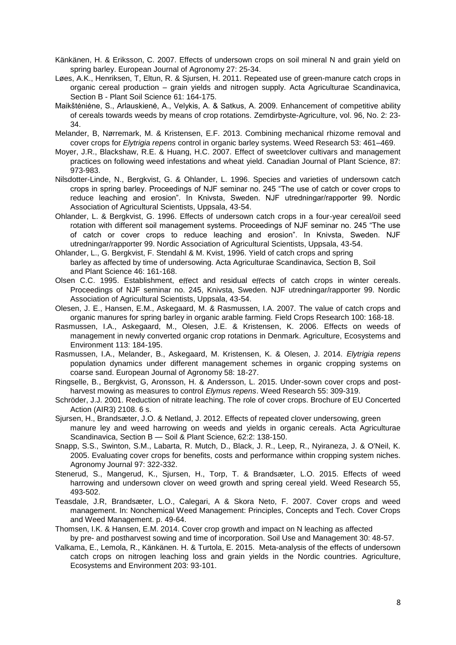- Känkänen, H. & Eriksson, C. 2007. Effects of undersown crops on soil mineral N and grain yield on spring barley. European Journal of Agronomy 27: 25-34.
- Løes, A.K., Henriksen, T, Eltun, R. & Sjursen, H. 2011. Repeated use of green-manure catch crops in organic cereal production – grain yields and nitrogen supply. Acta Agriculturae Scandinavica, Section B - Plant Soil Science 61: 164-175.
- Maikštėniėne, S., Arlauskienė, A., Velykis, A. & Satkus, A. 2009. Enhancement of competitive ability of cereals towards weeds by means of crop rotations. Zemdirbyste-Agriculture, vol. 96, No. 2: 23- 34.
- Melander, B, Nørremark, M. & Kristensen, E.F. 2013. Combining mechanical rhizome removal and cover crops for *Elytrigia repens* control in organic barley systems. Weed Research 53: 461–469.
- Moyer, J.R., Blackshaw, R.E. & Huang, H.C. 2007. Effect of sweetclover cultivars and management practices on following weed infestations and wheat yield. Canadian Journal of Plant Science, 87: 973-983.
- Nilsdotter-Linde, N., Bergkvist, G. & Ohlander, L. 1996. Species and varieties of undersown catch crops in spring barley. Proceedings of NJF seminar no. 245 "The use of catch or cover crops to reduce leaching and erosion". In Knivsta, Sweden. NJF utredningar/rapporter 99. Nordic Association of Agricultural Scientists, Uppsala, 43-54.
- Ohlander, L. & Bergkvist, G. 1996. Effects of undersown catch crops in a four-year cereal/oil seed rotation with different soil management systems. Proceedings of NJF seminar no. 245 "The use of catch or cover crops to reduce leaching and erosion". In Knivsta, Sweden. NJF utredningar/rapporter 99. Nordic Association of Agricultural Scientists, Uppsala, 43-54.
- Ohlander, L., G. Bergkvist, F. Stendahl & M. Kvist, 1996. Yield of catch crops and spring barley as affected by time of undersowing. Acta Agriculturae Scandinavica, Section B, Soil and Plant Science 46: 161-168.
- Olsen C.C. 1995. Establishment, effect and residual effects of catch crops in winter cereals. Proceedings of NJF seminar no. 245, Knivsta, Sweden. NJF utredningar/rapporter 99. Nordic Association of Agricultural Scientists, Uppsala, 43-54.
- Olesen, J. E., Hansen, E.M., Askegaard, M. & Rasmussen, I.A. 2007. The value of catch crops and organic manures for spring barley in organic arable farming. Field Crops Research 100: 168-18.
- Rasmussen, I.A., Askegaard, M., Olesen, J.E. & Kristensen, K. 2006. Effects on weeds of management in newly converted organic crop rotations in Denmark. Agriculture, Ecosystems and Environment 113: 184-195.
- Rasmussen, I.A., Melander, B., Askegaard, M. Kristensen, K. & Olesen, J. 2014. *Elytrigia repens* population dynamics under different management schemes in organic cropping systems on coarse sand. European Journal of Agronomy 58: 18-27.
- Ringselle, B., Bergkvist, G, Aronsson, H. & Andersson, L. 2015. Under-sown cover crops and postharvest mowing as measures to control *Elymus repens*. Weed Research 55: 309-319.
- Schröder, J.J. 2001. Reduction of nitrate leaching. The role of cover crops. Brochure of EU Concerted Action (AIR3) 2108. 6 s.
- Sjursen, H., Brandsæter, J.O. & Netland, J. 2012. Effects of repeated clover undersowing, green manure ley and weed harrowing on weeds and yields in organic cereals. Acta Agriculturae Scandinavica, Section B — Soil & Plant Science, 62:2: 138-150.
- Snapp, S.S., Swinton, S.M., Labarta, R. Mutch, D., Black, J. R., Leep, R., Nyiraneza, J. & O'Neil, K. 2005. Evaluating cover crops for benefits, costs and performance within cropping system niches. Agronomy Journal 97: 322-332.
- Stenerud, S., Mangerud, K., Sjursen, H., Torp, T. & Brandsæter, L.O. 2015. Effects of weed harrowing and undersown clover on weed growth and spring cereal yield. Weed Research 55, 493-502.
- Teasdale, J.R, Brandsæter, L.O., Calegari, A & Skora Neto, F. 2007. Cover crops and weed management. In: Nonchemical Weed Management: Principles, Concepts and Tech. Cover Crops and Weed Management. p. 49-64.
- Thomsen, I.K. & Hansen, E.M. 2014. Cover crop growth and impact on N leaching as affected by pre- and postharvest sowing and time of incorporation. Soil Use and Management 30: 48-57.
- Valkama, E., Lemola, R., Känkänen. H. & Turtola, E. 2015. Meta-analysis of the effects of undersown catch crops on nitrogen leaching loss and grain yields in the Nordic countries. Agriculture, Ecosystems and Environment 203: 93-101.